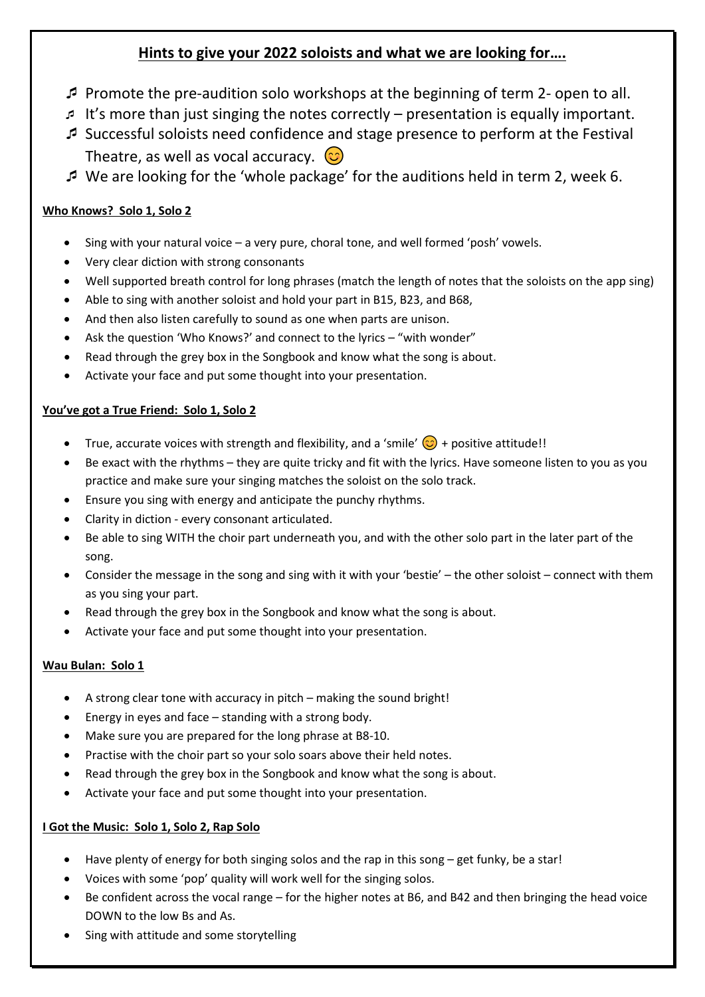# **Hints to give your 2022 soloists and what we are looking for….**

- Promote the pre-audition solo workshops at the beginning of term 2- open to all.
- It's more than just singing the notes correctly presentation is equally important.
- Successful soloists need confidence and stage presence to perform at the Festival Theatre, as well as vocal accuracy.  $\circled{c}$
- We are looking for the 'whole package' for the auditions held in term 2, week 6.

# **Who Knows? Solo 1, Solo 2**

- Sing with your natural voice a very pure, choral tone, and well formed 'posh' vowels.
- Very clear diction with strong consonants
- Well supported breath control for long phrases (match the length of notes that the soloists on the app sing)
- Able to sing with another soloist and hold your part in B15, B23, and B68,
- And then also listen carefully to sound as one when parts are unison.
- Ask the question 'Who Knows?' and connect to the lyrics "with wonder"
- Read through the grey box in the Songbook and know what the song is about.
- Activate your face and put some thought into your presentation.

## **You've got a True Friend: Solo 1, Solo 2**

- True, accurate voices with strength and flexibility, and a 'smile'  $\bigodot$  + positive attitude!!
- Be exact with the rhythms they are quite tricky and fit with the lyrics. Have someone listen to you as you practice and make sure your singing matches the soloist on the solo track.
- Ensure you sing with energy and anticipate the punchy rhythms.
- Clarity in diction every consonant articulated.
- Be able to sing WITH the choir part underneath you, and with the other solo part in the later part of the song.
- Consider the message in the song and sing with it with your 'bestie' the other soloist connect with them as you sing your part.
- Read through the grey box in the Songbook and know what the song is about.
- Activate your face and put some thought into your presentation.

# **Wau Bulan: Solo 1**

- A strong clear tone with accuracy in pitch making the sound bright!
- Energy in eyes and face standing with a strong body.
- Make sure you are prepared for the long phrase at B8-10.
- Practise with the choir part so your solo soars above their held notes.
- Read through the grey box in the Songbook and know what the song is about.
- Activate your face and put some thought into your presentation.

## **I Got the Music: Solo 1, Solo 2, Rap Solo**

- Have plenty of energy for both singing solos and the rap in this song get funky, be a star!
- Voices with some 'pop' quality will work well for the singing solos.
- Be confident across the vocal range for the higher notes at B6, and B42 and then bringing the head voice DOWN to the low Bs and As.
- Sing with attitude and some storytelling